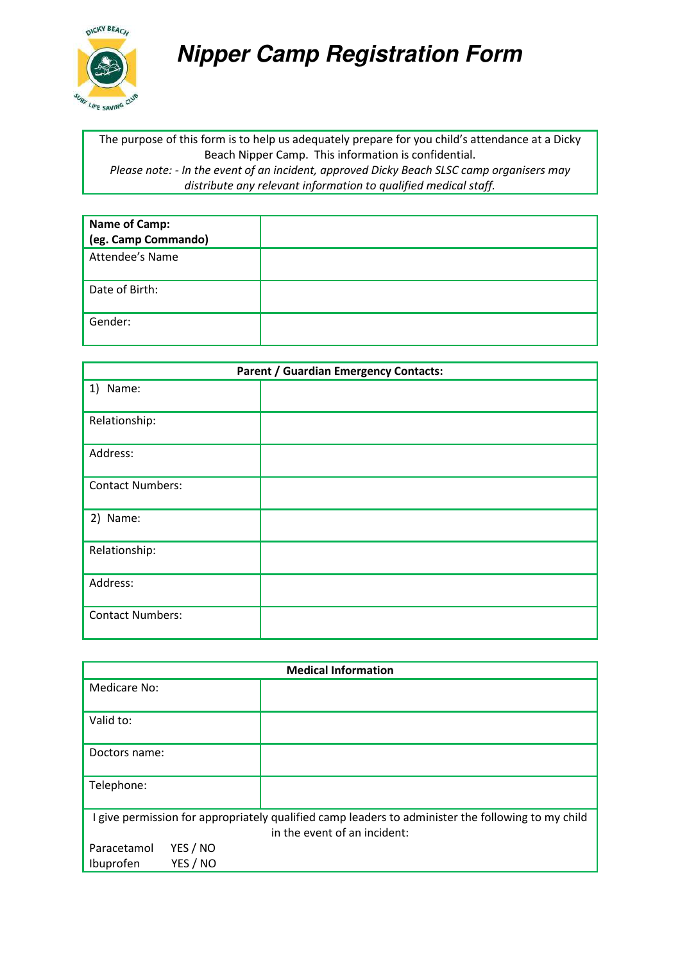

## **Nipper Camp Registration Form**

The purpose of this form is to help us adequately prepare for you child's attendance at a Dicky Beach Nipper Camp. This information is confidential. *Please note: - In the event of an incident, approved Dicky Beach SLSC camp organisers may distribute any relevant information to qualified medical staff.* 

| <b>Name of Camp:</b> |  |
|----------------------|--|
| (eg. Camp Commando)  |  |
| Attendee's Name      |  |
| Date of Birth:       |  |
| Gender:              |  |

| <b>Parent / Guardian Emergency Contacts:</b> |  |  |
|----------------------------------------------|--|--|
| 1) Name:                                     |  |  |
| Relationship:                                |  |  |
| Address:                                     |  |  |
| <b>Contact Numbers:</b>                      |  |  |
| 2) Name:                                     |  |  |
| Relationship:                                |  |  |
| Address:                                     |  |  |
| <b>Contact Numbers:</b>                      |  |  |

| <b>Medical Information</b>                                                                                                         |  |  |
|------------------------------------------------------------------------------------------------------------------------------------|--|--|
| Medicare No:                                                                                                                       |  |  |
| Valid to:                                                                                                                          |  |  |
| Doctors name:                                                                                                                      |  |  |
| Telephone:                                                                                                                         |  |  |
| I give permission for appropriately qualified camp leaders to administer the following to my child<br>in the event of an incident: |  |  |
| YES / NO<br>Paracetamol<br>YES / NO<br>Ibuprofen                                                                                   |  |  |